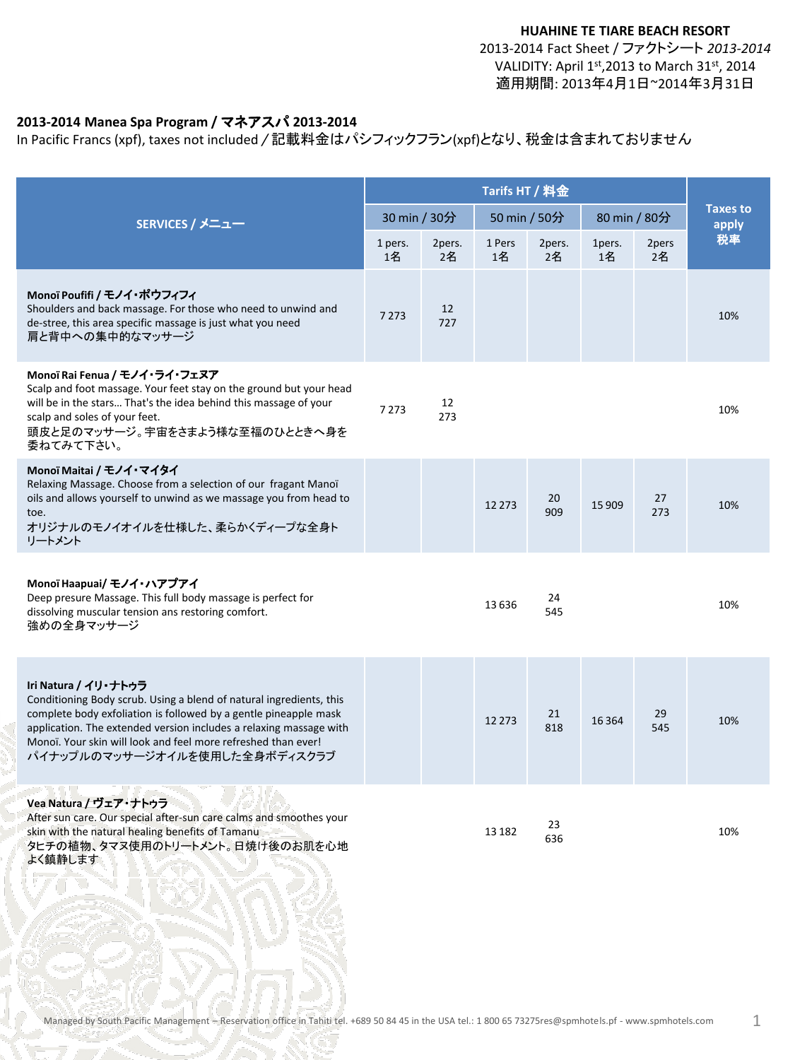#### **HUAHINE TE TIARE BEACH RESORT** 2013-2014 Fact Sheet / ファクトシート *2013-2014* VALIDITY: April 1st,2013 to March 31st, 2014

適用期間: 2013年4月1日~2014年3月31日

#### **2013-2014 Manea Spa Program /** マネアスパ **2013-2014**

In Pacific Francs (xpf), taxes not included */* 記載料金はパシフィックフラン(xpf)となり、税金は含まれておりません

|                                                                                                                                                                                                                                                                                                                                         | Tarifs HT / 料金 |              |              |              |              |             |                   |
|-----------------------------------------------------------------------------------------------------------------------------------------------------------------------------------------------------------------------------------------------------------------------------------------------------------------------------------------|----------------|--------------|--------------|--------------|--------------|-------------|-------------------|
| SERVICES / メニュー                                                                                                                                                                                                                                                                                                                         | 30 min / 30分   |              | 50 min / 50分 |              | 80 min / 80分 |             | Taxes to<br>apply |
|                                                                                                                                                                                                                                                                                                                                         | 1 pers.<br>1名  | 2pers.<br>2名 | 1 Pers<br>1名 | 2pers.<br>2名 | 1pers.<br>1名 | 2pers<br>2名 | 税率                |
| Monoï Poufifi / モノイ・ポウフィフィ<br>Shoulders and back massage. For those who need to unwind and<br>de-stree, this area specific massage is just what you need<br>肩と背中への集中的なマッサージ                                                                                                                                                             | 7273           | 12<br>727    |              |              |              |             | 10%               |
| Monoï Rai Fenua / モノイ・ライ・フェヌア<br>Scalp and foot massage. Your feet stay on the ground but your head<br>will be in the stars That's the idea behind this massage of your<br>scalp and soles of your feet.<br>頭皮と足のマッサージ。宇宙をさまよう様な至福のひとときへ身を<br>委ねてみて下さい。                                                                                 | 7 2 7 3        | 12<br>273    |              |              |              |             | 10%               |
| Monoï Maitai / モノイ・マイタイ<br>Relaxing Massage. Choose from a selection of our fragant Manoï<br>oils and allows yourself to unwind as we massage you from head to<br>toe.<br>オリジナルのモノイオイルを仕様した、柔らかくディープな全身ト<br>リートメント                                                                                                                      |                |              | 12 2 7 3     | 20<br>909    | 15 9 09      | 27<br>273   | 10%               |
| Monoï Haapuai/ モノイ・ハアプアイ<br>Deep presure Massage. This full body massage is perfect for<br>dissolving muscular tension ans restoring comfort.<br>強めの全身マッサージ                                                                                                                                                                             |                |              | 13636        | 24<br>545    |              |             | 10%               |
| Iri Natura / イリ・ナトゥラ<br>Conditioning Body scrub. Using a blend of natural ingredients, this<br>complete body exfoliation is followed by a gentle pineapple mask<br>application. The extended version includes a relaxing massage with<br>Monoï. Your skin will look and feel more refreshed than ever!<br>パイナップルのマッサージオイルを使用した全身ボディスクラブ |                |              | 12 2 7 3     | 21<br>818    | 16 3 64      | 29<br>545   | 10%               |
| Vea Natura / ヴェア・ナトゥラ<br>After sun care. Our special after-sun care calms and smoothes your<br>skin with the natural healing benefits of Tamanu<br>タヒチの植物、タマヌ使用のトリートメント。日焼け後のお肌を心地<br>よく鎮静します                                                                                                                                           |                |              | 13 182       | 23<br>636    |              |             | 10%               |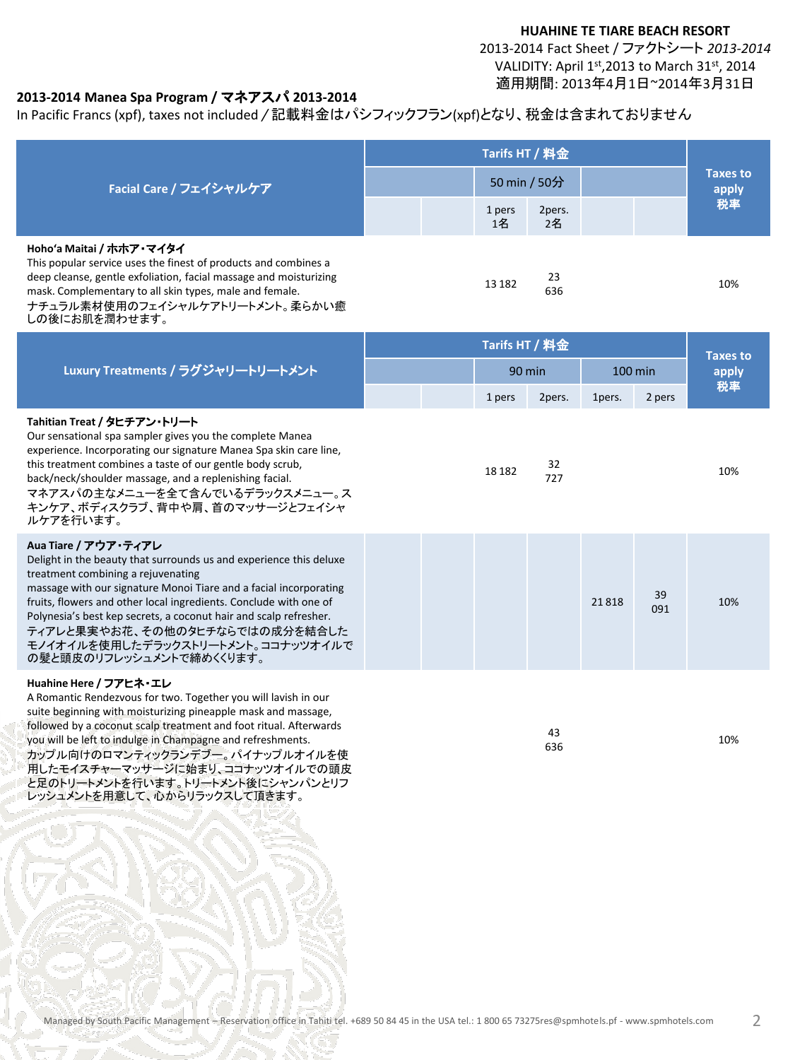## **HUAHINE TE TIARE BEACH RESORT**

2013-2014 Fact Sheet / ファクトシート *2013-2014* VALIDITY: April 1st,2013 to March 31st, 2014 適用期間: 2013年4月1日~2014年3月31日

#### **2013-2014 Manea Spa Program /** マネアスパ **2013-2014**

In Pacific Francs (xpf), taxes not included */* 記載料金はパシフィックフラン(xpf)となり、税金は含まれておりません

| Facial Care / フェイシャルケア                                                                                                                                                                                                                                                                                                                                                                                                                             | Tarifs HT / 料金 |  |              |              |                      |           | Taxes to<br>apply |
|----------------------------------------------------------------------------------------------------------------------------------------------------------------------------------------------------------------------------------------------------------------------------------------------------------------------------------------------------------------------------------------------------------------------------------------------------|----------------|--|--------------|--------------|----------------------|-----------|-------------------|
|                                                                                                                                                                                                                                                                                                                                                                                                                                                    | 50 min / 50分   |  |              |              |                      |           |                   |
|                                                                                                                                                                                                                                                                                                                                                                                                                                                    |                |  | 1 pers<br>1名 | 2pers.<br>2名 |                      |           | 税率                |
| Hoho'a Maitai / ホホア・マイタイ<br>This popular service uses the finest of products and combines a<br>deep cleanse, gentle exfoliation, facial massage and moisturizing<br>mask. Complementary to all skin types, male and female.<br>ナチュラル素材使用のフェイシャルケアトリートメント。柔らかい癒<br>しの後にお肌を潤わせます。                                                                                                                                                                    |                |  | 13 182       | 23<br>636    |                      |           | 10%               |
| Luxury Treatments / ラグジャリートリートメント                                                                                                                                                                                                                                                                                                                                                                                                                  | Tarifs HT / 料金 |  |              |              |                      |           | <b>Taxes to</b>   |
|                                                                                                                                                                                                                                                                                                                                                                                                                                                    |                |  | 90 min       |              | $100 \,\mathrm{min}$ |           | apply             |
|                                                                                                                                                                                                                                                                                                                                                                                                                                                    |                |  | 1 pers       | 2pers.       | 1pers.               | 2 pers    | 税率                |
| Tahitian Treat / タヒチアン・トリート<br>Our sensational spa sampler gives you the complete Manea<br>experience. Incorporating our signature Manea Spa skin care line,<br>this treatment combines a taste of our gentle body scrub,<br>back/neck/shoulder massage, and a replenishing facial.<br>マネアスパの主なメニューを全て含んでいるデラックスメニュー。ス<br>キンケア、ボディスクラブ、背中や肩、首のマッサージとフェイシャ<br>ルケアを行います。                                                                             |                |  | 18 18 2      | 32<br>727    |                      |           | 10%               |
| Aua Tiare / アウア・ティアレ<br>Delight in the beauty that surrounds us and experience this deluxe<br>treatment combining a rejuvenating<br>massage with our signature Monoi Tiare and a facial incorporating<br>fruits, flowers and other local ingredients. Conclude with one of<br>Polynesia's best kep secrets, a coconut hair and scalp refresher.<br>ティアレと果実やお花、その他のタヒチならではの成分を結合した<br>モノイオイルを使用したデラックストリートメント。ココナッツオイルで<br>の髪と頭皮のリフレッシュメントで締めくくります。 |                |  |              |              | 21818                | 39<br>091 | 10%               |
| Huahine Here / フアヒネ・エレ<br>A Romantic Rendezvous for two. Together you will lavish in our<br>suite beginning with moisturizing pineapple mask and massage,<br>followed by a coconut scalp treatment and foot ritual. Afterwards<br>you will be left to indulge in Champagne and refreshments.<br>カップル向けのロマンティックランデブー。パイナップルオイルを使<br>用したモイスチャーマッサージに始まり、ココナッツオイルでの頭皮<br>と足のトリートメントを行います。トリートメント後にシャンパンとリフ<br>レッシュメントを用意して、心からリラックスして頂きます。            |                |  |              | 43<br>636    |                      |           | 10%               |

Managed by South Pacific Management – Reservation office in Tahiti tel. +689 50 84 45 in the USA tel.: 1 800 65 73275res@spmhotels.pf - www.spmhotels.com 2